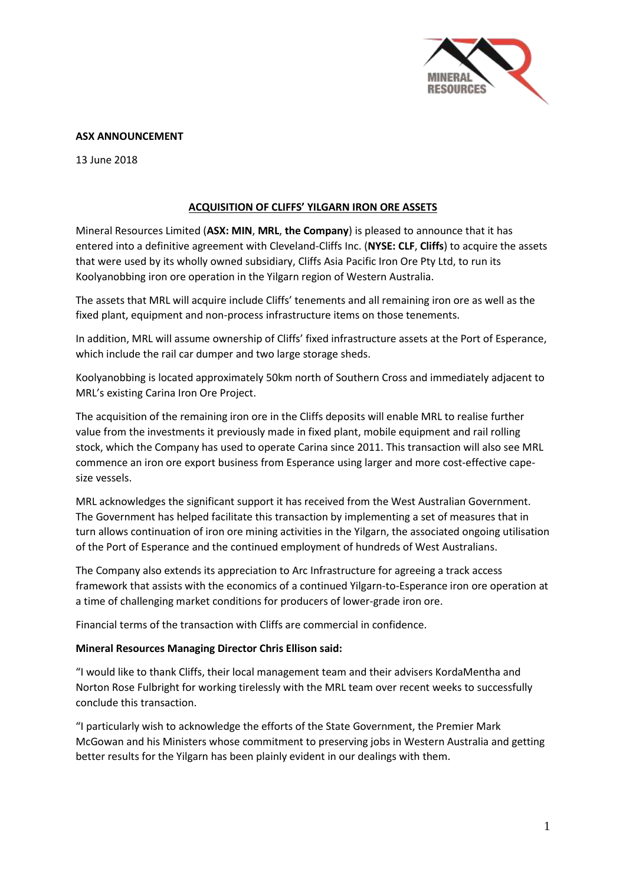

## **ASX ANNOUNCEMENT**

13 June 2018

## **ACQUISITION OF CLIFFS' YILGARN IRON ORE ASSETS**

Mineral Resources Limited (**ASX: MIN**, **MRL**, **the Company**) is pleased to announce that it has entered into a definitive agreement with Cleveland-Cliffs Inc. (**NYSE: CLF**, **Cliffs**) to acquire the assets that were used by its wholly owned subsidiary, Cliffs Asia Pacific Iron Ore Pty Ltd, to run its Koolyanobbing iron ore operation in the Yilgarn region of Western Australia.

The assets that MRL will acquire include Cliffs' tenements and all remaining iron ore as well as the fixed plant, equipment and non-process infrastructure items on those tenements.

In addition, MRL will assume ownership of Cliffs' fixed infrastructure assets at the Port of Esperance, which include the rail car dumper and two large storage sheds.

Koolyanobbing is located approximately 50km north of Southern Cross and immediately adjacent to MRL's existing Carina Iron Ore Project.

The acquisition of the remaining iron ore in the Cliffs deposits will enable MRL to realise further value from the investments it previously made in fixed plant, mobile equipment and rail rolling stock, which the Company has used to operate Carina since 2011. This transaction will also see MRL commence an iron ore export business from Esperance using larger and more cost-effective capesize vessels.

MRL acknowledges the significant support it has received from the West Australian Government. The Government has helped facilitate this transaction by implementing a set of measures that in turn allows continuation of iron ore mining activities in the Yilgarn, the associated ongoing utilisation of the Port of Esperance and the continued employment of hundreds of West Australians.

The Company also extends its appreciation to Arc Infrastructure for agreeing a track access framework that assists with the economics of a continued Yilgarn-to-Esperance iron ore operation at a time of challenging market conditions for producers of lower-grade iron ore.

Financial terms of the transaction with Cliffs are commercial in confidence.

## **Mineral Resources Managing Director Chris Ellison said:**

"I would like to thank Cliffs, their local management team and their advisers KordaMentha and Norton Rose Fulbright for working tirelessly with the MRL team over recent weeks to successfully conclude this transaction.

"I particularly wish to acknowledge the efforts of the State Government, the Premier Mark McGowan and his Ministers whose commitment to preserving jobs in Western Australia and getting better results for the Yilgarn has been plainly evident in our dealings with them.